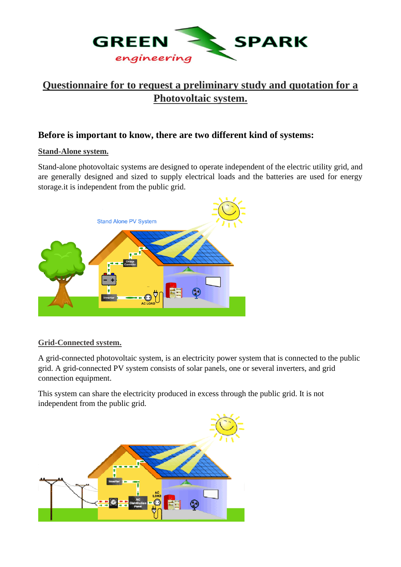

# **Questionnaire for to request a preliminary study and quotation for a Photovoltaic system.**

# **Before is important to know, there are two different kind of systems:**

#### **Stand-Alone system.**

Stand-alone photovoltaic systems are designed to operate independent of the electric utility grid, and are generally designed and sized to supply electrical loads and the batteries are used for energy storage.it is independent from the public grid.



### **Grid-Connected system.**

A grid-connected photovoltaic system, is an electricity power system that is connected to the public grid. A grid-connected PV system consists of solar panels, one or several inverters, and grid connection equipment.

This system can share the electricity produced in excess through the public grid. It is not independent from the public grid.

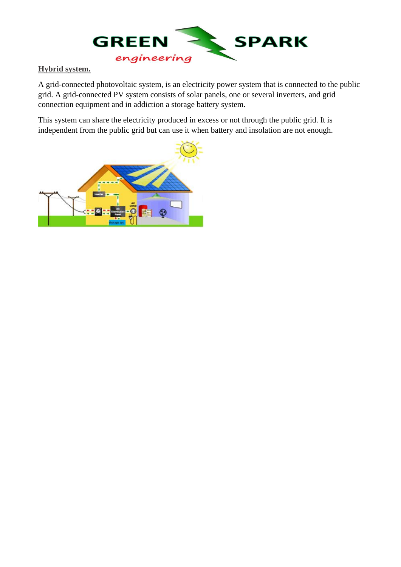

### **Hybrid system.**

A grid-connected photovoltaic system, is an electricity power system that is connected to the public grid. A grid-connected PV system consists of solar panels, one or several inverters, and grid connection equipment and in addiction a storage battery system.

This system can share the electricity produced in excess or not through the public grid. It is independent from the public grid but can use it when battery and insolation are not enough.

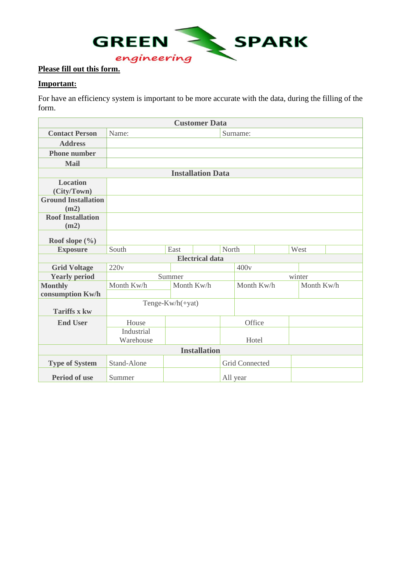

## **Important:**

For have an efficiency system is important to be more accurate with the data, during the filling of the form.

| <b>Customer Data</b>       |                  |            |       |                       |            |      |            |  |  |
|----------------------------|------------------|------------|-------|-----------------------|------------|------|------------|--|--|
| <b>Contact Person</b>      | Name:            |            |       | Surname:              |            |      |            |  |  |
| <b>Address</b>             |                  |            |       |                       |            |      |            |  |  |
| <b>Phone number</b>        |                  |            |       |                       |            |      |            |  |  |
| <b>Mail</b>                |                  |            |       |                       |            |      |            |  |  |
| <b>Installation Data</b>   |                  |            |       |                       |            |      |            |  |  |
| <b>Location</b>            |                  |            |       |                       |            |      |            |  |  |
| (City/Town)                |                  |            |       |                       |            |      |            |  |  |
| <b>Ground Installation</b> |                  |            |       |                       |            |      |            |  |  |
| (m2)                       |                  |            |       |                       |            |      |            |  |  |
| <b>Roof Installation</b>   |                  |            |       |                       |            |      |            |  |  |
| (m2)                       |                  |            |       |                       |            |      |            |  |  |
| Roof slope $(\% )$         |                  |            |       |                       |            |      |            |  |  |
| <b>Exposure</b>            | South            | East       | North |                       |            | West |            |  |  |
| <b>Electrical data</b>     |                  |            |       |                       |            |      |            |  |  |
| <b>Grid Voltage</b>        | 220v             |            |       |                       | 400v       |      |            |  |  |
| <b>Yearly period</b>       |                  | Summer     |       |                       | winter     |      |            |  |  |
| <b>Monthly</b>             | Month Kw/h       | Month Kw/h |       |                       | Month Kw/h |      | Month Kw/h |  |  |
| consumption Kw/h           |                  |            |       |                       |            |      |            |  |  |
|                            | Tenge-Kw/h(+yat) |            |       |                       |            |      |            |  |  |
| <b>Tariffs x kw</b>        |                  |            |       |                       |            |      |            |  |  |
| <b>End User</b>            | House            |            |       |                       | Office     |      |            |  |  |
|                            | Industrial       |            |       |                       |            |      |            |  |  |
|                            | Warehouse        |            |       |                       | Hotel      |      |            |  |  |
| <b>Installation</b>        |                  |            |       |                       |            |      |            |  |  |
| <b>Type of System</b>      | Stand-Alone      |            |       | <b>Grid Connected</b> |            |      |            |  |  |
| <b>Period of use</b>       | Summer           |            |       | All year              |            |      |            |  |  |